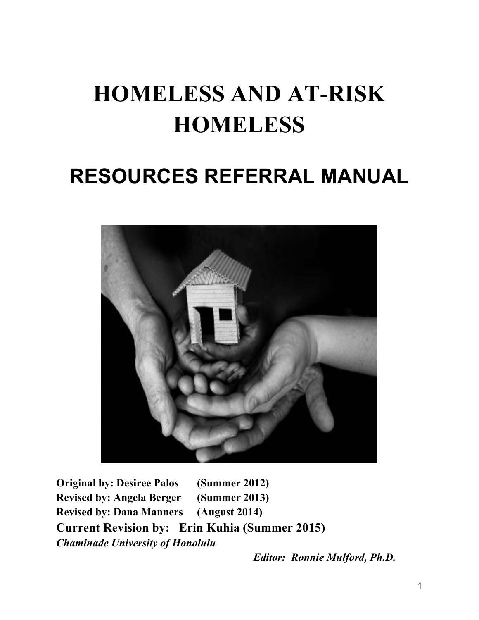# **HOMELESS AND AT-RISK HOMELESS**

# **RESOURCES REFERRAL MANUAL**



**Original by: Desiree Palos (Summer 2012) Revised by: Angela Berger (Summer 2013) Revised by: Dana Manners (August 2014) Current Revision by: Erin Kuhia (Summer 2015)** *Chaminade University of Honolulu*

*Editor: Ronnie Mulford, Ph.D.*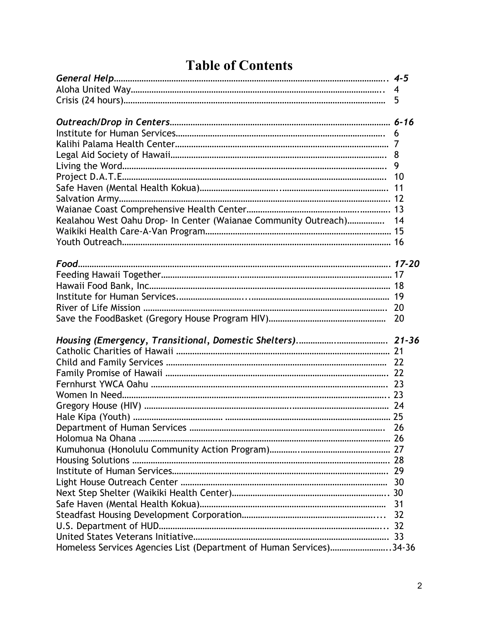## **Table of Contents**

|                                                                     | 5  |
|---------------------------------------------------------------------|----|
|                                                                     |    |
|                                                                     |    |
|                                                                     |    |
|                                                                     |    |
|                                                                     |    |
|                                                                     |    |
|                                                                     |    |
|                                                                     |    |
|                                                                     |    |
| Kealahou West Oahu Drop- In Center (Waianae Community Outreach) 14  |    |
|                                                                     |    |
|                                                                     |    |
|                                                                     |    |
|                                                                     |    |
|                                                                     |    |
|                                                                     |    |
|                                                                     |    |
|                                                                     | 20 |
|                                                                     |    |
|                                                                     |    |
|                                                                     |    |
|                                                                     |    |
|                                                                     |    |
|                                                                     |    |
|                                                                     |    |
|                                                                     |    |
|                                                                     |    |
|                                                                     |    |
|                                                                     |    |
|                                                                     |    |
|                                                                     |    |
|                                                                     |    |
|                                                                     |    |
|                                                                     |    |
|                                                                     | 32 |
|                                                                     |    |
|                                                                     |    |
| Homeless Services Agencies List (Department of Human Services)34-36 |    |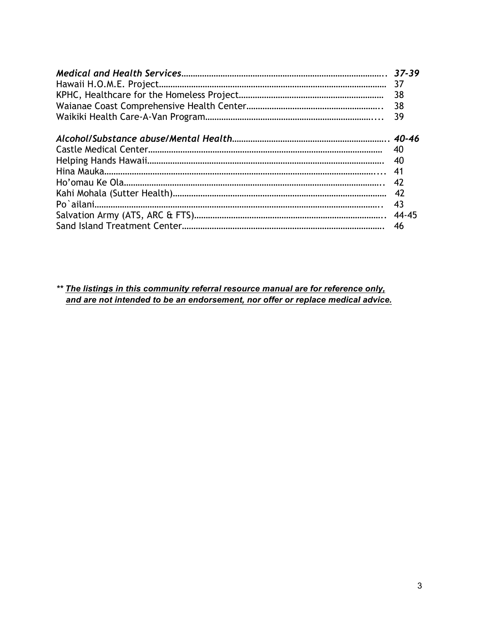| 38 |
|----|
|    |
|    |
| 40 |
|    |
| 42 |
|    |
| 43 |
|    |
| 46 |

*\*\* The listings in this community referral resource manual are for reference only, and are not intended to be an endorsement, nor offer or replace medical advice.*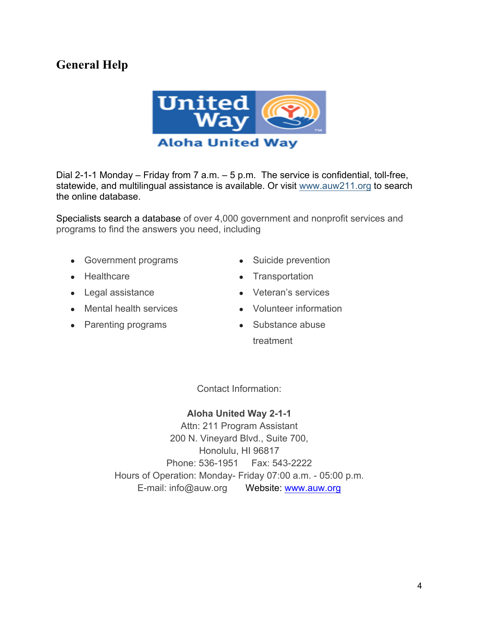## **General Help**



Dial 2-1-1 Monday – Friday from 7 a.m. – 5 p.m. The service is confidential, toll-free, statewide, and multilingual assistance is available. Or visit www.auw211.org to search the online database.

Specialists search a database of over 4,000 government and nonprofit services and programs to find the answers you need, including

- Government programs
- Healthcare
- Legal assistance
- Mental health services

• Parenting programs

- Suicide prevention
- Transportation
- Veteran's services
- Volunteer information
- Substance abuse treatment

Contact Information:

## **Aloha United Way 2-1-1**

Attn: 211 Program Assistant 200 N. Vineyard Blvd., Suite 700, Honolulu, HI 96817 Phone: 536-1951 Fax: 543-2222 Hours of Operation: Monday- Friday 07:00 a.m. - 05:00 p.m. E-mail: info@auw.org Website: www.auw.org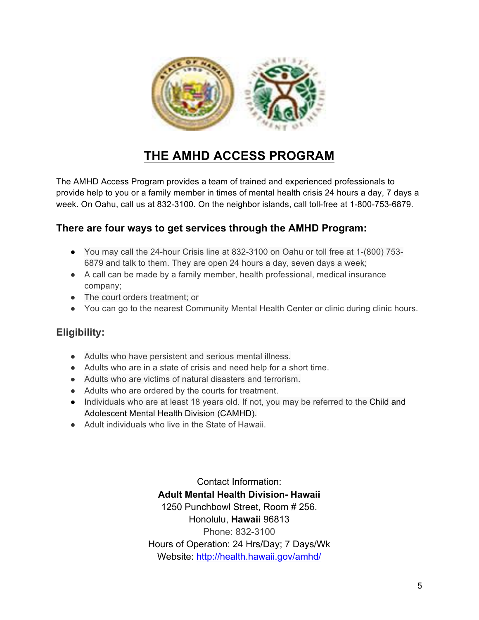

## **THE AMHD ACCESS PROGRAM**

The AMHD Access Program provides a team of trained and experienced professionals to provide help to you or a family member in times of mental health crisis 24 hours a day, 7 days a week. On Oahu, call us at 832-3100. On the neighbor islands, call toll-free at 1-800-753-6879.

## **There are four ways to get services through the AMHD Program:**

- You may call the 24-hour Crisis line at 832-3100 on Oahu or toll free at 1-(800) 753- 6879 and talk to them. They are open 24 hours a day, seven days a week;
- A call can be made by a family member, health professional, medical insurance company;
- The court orders treatment; or
- You can go to the nearest Community Mental Health Center or clinic during clinic hours.

## **Eligibility:**

- Adults who have persistent and serious mental illness.
- Adults who are in a state of crisis and need help for a short time.
- Adults who are victims of natural disasters and terrorism.
- Adults who are ordered by the courts for treatment.
- Individuals who are at least 18 years old. If not, you may be referred to the Child and Adolescent Mental Health Division (CAMHD).
- Adult individuals who live in the State of Hawaii

Contact Information: **Adult Mental Health Division- Hawaii** 1250 Punchbowl Street, Room # 256. Honolulu, **Hawaii** 96813 Phone: 832-3100 Hours of Operation: 24 Hrs/Day; 7 Days/Wk Website: http://health.hawaii.gov/amhd/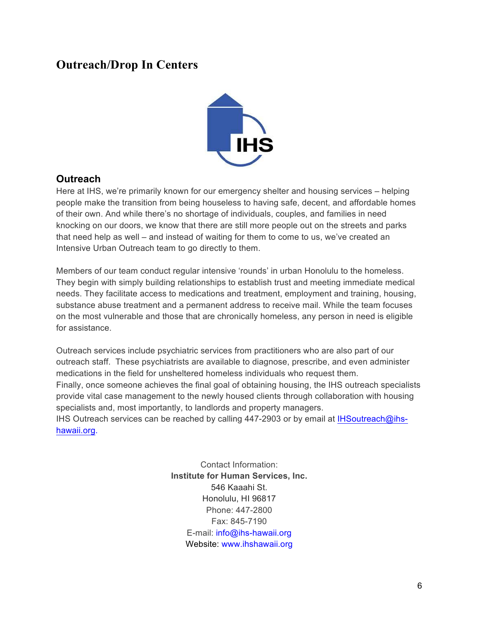## **Outreach/Drop In Centers**



## **Outreach**

Here at IHS, we're primarily known for our emergency shelter and housing services – helping people make the transition from being houseless to having safe, decent, and affordable homes of their own. And while there's no shortage of individuals, couples, and families in need knocking on our doors, we know that there are still more people out on the streets and parks that need help as well – and instead of waiting for them to come to us, we've created an Intensive Urban Outreach team to go directly to them.

Members of our team conduct regular intensive 'rounds' in urban Honolulu to the homeless. They begin with simply building relationships to establish trust and meeting immediate medical needs. They facilitate access to medications and treatment, employment and training, housing, substance abuse treatment and a permanent address to receive mail. While the team focuses on the most vulnerable and those that are chronically homeless, any person in need is eligible for assistance.

Outreach services include psychiatric services from practitioners who are also part of our outreach staff. These psychiatrists are available to diagnose, prescribe, and even administer medications in the field for unsheltered homeless individuals who request them. Finally, once someone achieves the final goal of obtaining housing, the IHS outreach specialists provide vital case management to the newly housed clients through collaboration with housing specialists and, most importantly, to landlords and property managers. IHS Outreach services can be reached by calling 447-2903 or by email at IHSoutreach@ihshawaii.org.

> Contact Information: **Institute for Human Services, Inc.** 546 Kaaahi St. Honolulu, HI 96817 Phone: 447-2800 Fax: 845-7190 E-mail: info@ihs-hawaii.org Website: www.ihshawaii.org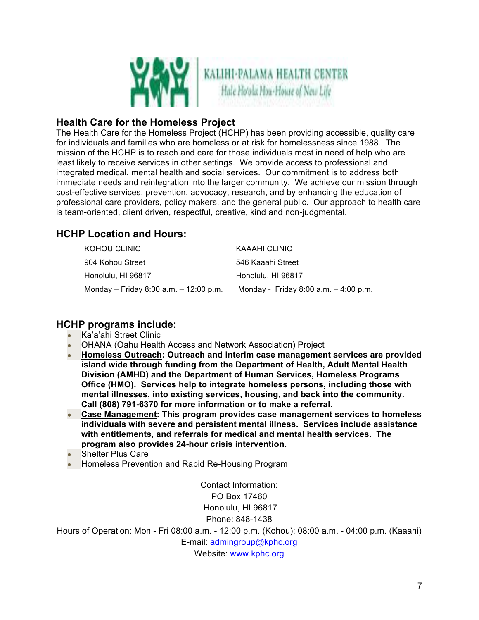

## **Health Care for the Homeless Project**

The Health Care for the Homeless Project (HCHP) has been providing accessible, quality care for individuals and families who are homeless or at risk for homelessness since 1988. The mission of the HCHP is to reach and care for those individuals most in need of help who are least likely to receive services in other settings. We provide access to professional and integrated medical, mental health and social services. Our commitment is to address both immediate needs and reintegration into the larger community. We achieve our mission through cost-effective services, prevention, advocacy, research, and by enhancing the education of professional care providers, policy makers, and the general public. Our approach to health care is team-oriented, client driven, respectful, creative, kind and non-judgmental.

## **HCHP Location and Hours:**

| KOHOU CLINIC                           | KAAAHI CLINIC                           |
|----------------------------------------|-----------------------------------------|
| 904 Kohou Street                       | 546 Kaaahi Street                       |
| Honolulu, HI 96817                     | Honolulu, HI 96817                      |
| Monday – Friday 8:00 a.m. – 12:00 p.m. | Monday - Friday 8:00 a.m. $-$ 4:00 p.m. |

## **HCHP programs include:**

- Ka'a'ahi Street Clinic
- **OHANA (Oahu Health Access and Network Association) Project**
- **Homeless Outreach: Outreach and interim case management services are provided island wide through funding from the Department of Health, Adult Mental Health Division (AMHD) and the Department of Human Services, Homeless Programs Office (HMO). Services help to integrate homeless persons, including those with mental illnesses, into existing services, housing, and back into the community. Call (808) 791-6370 for more information or to make a referral.**
- **Case Management: This program provides case management services to homeless individuals with severe and persistent mental illness. Services include assistance with entitlements, and referrals for medical and mental health services. The program also provides 24-hour crisis intervention.**
- **Shelter Plus Care**
- Homeless Prevention and Rapid Re-Housing Program

Contact Information: PO Box 17460 Honolulu, HI 96817 Phone: 848-1438

Hours of Operation: Mon - Fri 08:00 a.m. - 12:00 p.m. (Kohou); 08:00 a.m. - 04:00 p.m. (Kaaahi) E-mail: admingroup@kphc.org Website: www.kphc.org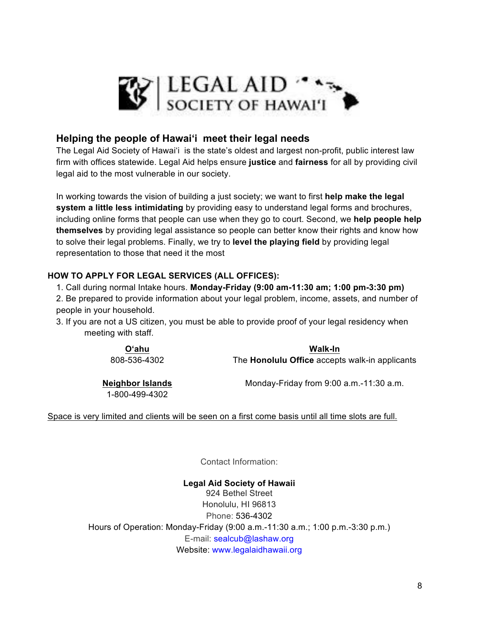

## **Helping the people of Hawai'i meet their legal needs**

The Legal Aid Society of Hawai'i is the state's oldest and largest non-profit, public interest law firm with offices statewide. Legal Aid helps ensure **justice** and **fairness** for all by providing civil legal aid to the most vulnerable in our society.

In working towards the vision of building a just society; we want to first **help make the legal system a little less intimidating** by providing easy to understand legal forms and brochures, including online forms that people can use when they go to court. Second, we **help people help themselves** by providing legal assistance so people can better know their rights and know how to solve their legal problems. Finally, we try to **level the playing field** by providing legal representation to those that need it the most

#### **HOW TO APPLY FOR LEGAL SERVICES (ALL OFFICES):**

- 1. Call during normal Intake hours. **Monday-Friday (9:00 am-11:30 am; 1:00 pm-3:30 pm)**
- 2. Be prepared to provide information about your legal problem, income, assets, and number of people in your household.
- 3. If you are not a US citizen, you must be able to provide proof of your legal residency when meeting with staff.

**O'ahu** 808-536-4302 **Walk-In**

The **Honolulu Office** accepts walk-in applicants

**Neighbor Islands**  1-800-499-4302

Monday-Friday from 9:00 a.m.-11:30 a.m.

Space is very limited and clients will be seen on a first come basis until all time slots are full.

Contact Information:

**Legal Aid Society of Hawaii** 924 Bethel Street Honolulu, HI 96813 Phone: 536-4302 Hours of Operation: Monday-Friday (9:00 a.m.-11:30 a.m.; 1:00 p.m.-3:30 p.m.) E-mail: sealcub@lashaw.org Website: www.legalaidhawaii.org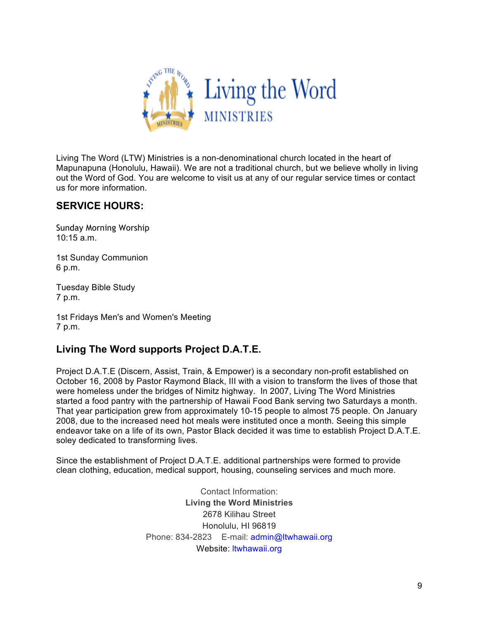

Living The Word (LTW) Ministries is a non-denominational church located in the heart of Mapunapuna (Honolulu, Hawaii). We are not a traditional church, but we believe wholly in living out the Word of God. You are welcome to visit us at any of our regular service times or contact us for more information.

## **SERVICE HOURS:**

Sunday Morning Worship 10:15 a.m.

1st Sunday Communion 6 p.m.

Tuesday Bible Study 7 p.m.

1st Fridays Men's and Women's Meeting 7 p.m.

## **Living The Word supports Project D.A.T.E.**

Project D.A.T.E (Discern, Assist, Train, & Empower) is a secondary non-profit established on October 16, 2008 by Pastor Raymond Black, III with a vision to transform the lives of those that were homeless under the bridges of Nimitz highway. In 2007, Living The Word Ministries started a food pantry with the partnership of Hawaii Food Bank serving two Saturdays a month. That year participation grew from approximately 10-15 people to almost 75 people. On January 2008, due to the increased need hot meals were instituted once a month. Seeing this simple endeavor take on a life of its own, Pastor Black decided it was time to establish Project D.A.T.E. soley dedicated to transforming lives.

Since the establishment of Project D.A.T.E. additional partnerships were formed to provide clean clothing, education, medical support, housing, counseling services and much more.

> Contact Information: **Living the Word Ministries** 2678 Kilihau Street Honolulu, HI 96819 Phone: 834-2823 E-mail: admin@ltwhawaii.org Website: ltwhawaii.org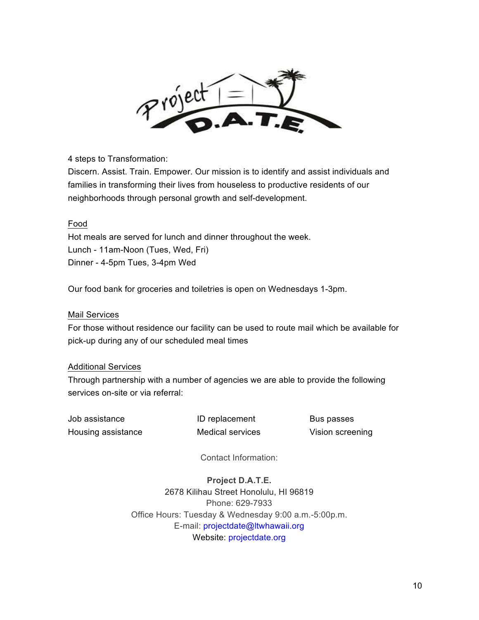

4 steps to Transformation:

Discern. Assist. Train. Empower. Our mission is to identify and assist individuals and families in transforming their lives from houseless to productive residents of our neighborhoods through personal growth and self-development.

#### Food

Hot meals are served for lunch and dinner throughout the week. Lunch - 11am-Noon (Tues, Wed, Fri) Dinner - 4-5pm Tues, 3-4pm Wed

Our food bank for groceries and toiletries is open on Wednesdays 1-3pm.

#### Mail Services

For those without residence our facility can be used to route mail which be available for pick-up during any of our scheduled meal times

#### Additional Services

Through partnership with a number of agencies we are able to provide the following services on-site or via referral:

Job assistance **ID** replacement Bus passes Housing assistance Medical services Vision screening

Contact Information:

**Project D.A.T.E.** 2678 Kilihau Street Honolulu, HI 96819 Phone: 629-7933 Office Hours: Tuesday & Wednesday 9:00 a.m.-5:00p.m. E-mail: projectdate@ltwhawaii.org Website: projectdate.org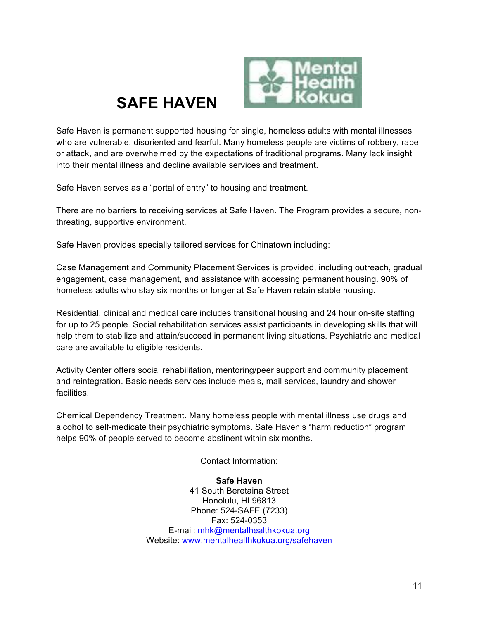



Safe Haven is permanent supported housing for single, homeless adults with mental illnesses who are vulnerable, disoriented and fearful. Many homeless people are victims of robbery, rape or attack, and are overwhelmed by the expectations of traditional programs. Many lack insight into their mental illness and decline available services and treatment.

Safe Haven serves as a "portal of entry" to housing and treatment.

There are no barriers to receiving services at Safe Haven. The Program provides a secure, nonthreating, supportive environment.

Safe Haven provides specially tailored services for Chinatown including:

Case Management and Community Placement Services is provided, including outreach, gradual engagement, case management, and assistance with accessing permanent housing. 90% of homeless adults who stay six months or longer at Safe Haven retain stable housing.

Residential, clinical and medical care includes transitional housing and 24 hour on-site staffing for up to 25 people. Social rehabilitation services assist participants in developing skills that will help them to stabilize and attain/succeed in permanent living situations. Psychiatric and medical care are available to eligible residents.

Activity Center offers social rehabilitation, mentoring/peer support and community placement and reintegration. Basic needs services include meals, mail services, laundry and shower facilities.

Chemical Dependency Treatment. Many homeless people with mental illness use drugs and alcohol to self-medicate their psychiatric symptoms. Safe Haven's "harm reduction" program helps 90% of people served to become abstinent within six months.

Contact Information:

#### **Safe Haven**

41 South Beretaina Street Honolulu, HI 96813 Phone: 524-SAFE (7233) Fax: 524-0353 E-mail: mhk@mentalhealthkokua.org Website: www.mentalhealthkokua.org/safehaven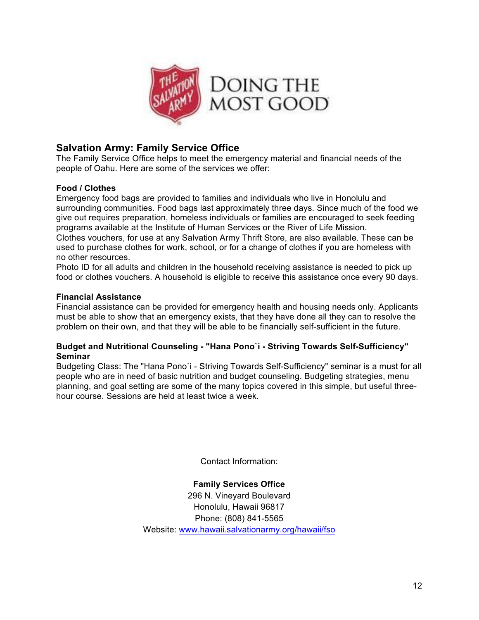

## **Salvation Army: Family Service Office**

The Family Service Office helps to meet the emergency material and financial needs of the people of Oahu. Here are some of the services we offer:

#### **Food / Clothes**

Emergency food bags are provided to families and individuals who live in Honolulu and surrounding communities. Food bags last approximately three days. Since much of the food we give out requires preparation, homeless individuals or families are encouraged to seek feeding programs available at the Institute of Human Services or the River of Life Mission.

Clothes vouchers, for use at any Salvation Army Thrift Store, are also available. These can be used to purchase clothes for work, school, or for a change of clothes if you are homeless with no other resources.

Photo ID for all adults and children in the household receiving assistance is needed to pick up food or clothes vouchers. A household is eligible to receive this assistance once every 90 days.

#### **Financial Assistance**

Financial assistance can be provided for emergency health and housing needs only. Applicants must be able to show that an emergency exists, that they have done all they can to resolve the problem on their own, and that they will be able to be financially self-sufficient in the future.

#### **Budget and Nutritional Counseling - "Hana Pono`i - Striving Towards Self-Sufficiency" Seminar**

Budgeting Class: The "Hana Pono`i - Striving Towards Self-Sufficiency" seminar is a must for all people who are in need of basic nutrition and budget counseling. Budgeting strategies, menu planning, and goal setting are some of the many topics covered in this simple, but useful threehour course. Sessions are held at least twice a week.

Contact Information:

#### **Family Services Office**

296 N. Vineyard Boulevard Honolulu, Hawaii 96817 Phone: (808) 841-5565 Website: www.hawaii.salvationarmy.org/hawaii/fso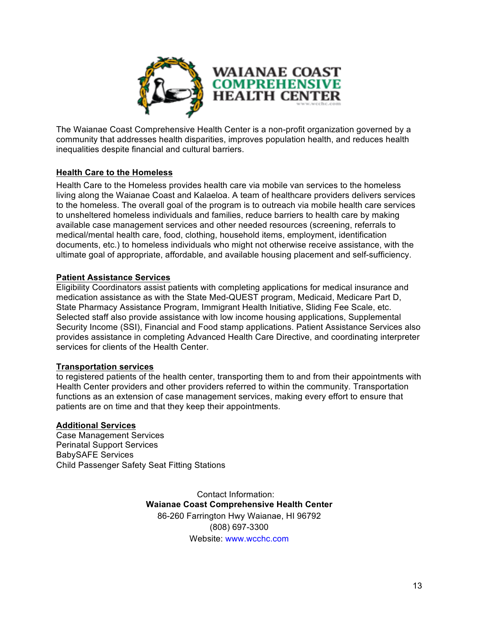

The Waianae Coast Comprehensive Health Center is a non-profit organization governed by a community that addresses health disparities, improves population health, and reduces health inequalities despite financial and cultural barriers.

#### **Health Care to the Homeless**

Health Care to the Homeless provides health care via mobile van services to the homeless living along the Waianae Coast and Kalaeloa. A team of healthcare providers delivers services to the homeless. The overall goal of the program is to outreach via mobile health care services to unsheltered homeless individuals and families, reduce barriers to health care by making available case management services and other needed resources (screening, referrals to medical/mental health care, food, clothing, household items, employment, identification documents, etc.) to homeless individuals who might not otherwise receive assistance, with the ultimate goal of appropriate, affordable, and available housing placement and self-sufficiency.

#### **Patient Assistance Services**

Eligibility Coordinators assist patients with completing applications for medical insurance and medication assistance as with the State Med-QUEST program, Medicaid, Medicare Part D, State Pharmacy Assistance Program, Immigrant Health Initiative, Sliding Fee Scale, etc. Selected staff also provide assistance with low income housing applications, Supplemental Security Income (SSI), Financial and Food stamp applications. Patient Assistance Services also provides assistance in completing Advanced Health Care Directive, and coordinating interpreter services for clients of the Health Center.

#### **Transportation services**

to registered patients of the health center, transporting them to and from their appointments with Health Center providers and other providers referred to within the community. Transportation functions as an extension of case management services, making every effort to ensure that patients are on time and that they keep their appointments.

#### **Additional Services**

Case Management Services Perinatal Support Services BabySAFE Services Child Passenger Safety Seat Fitting Stations

> Contact Information: **Waianae Coast Comprehensive Health Center** 86-260 Farrington Hwy Waianae, HI 96792 (808) 697-3300 Website: www.wcchc.com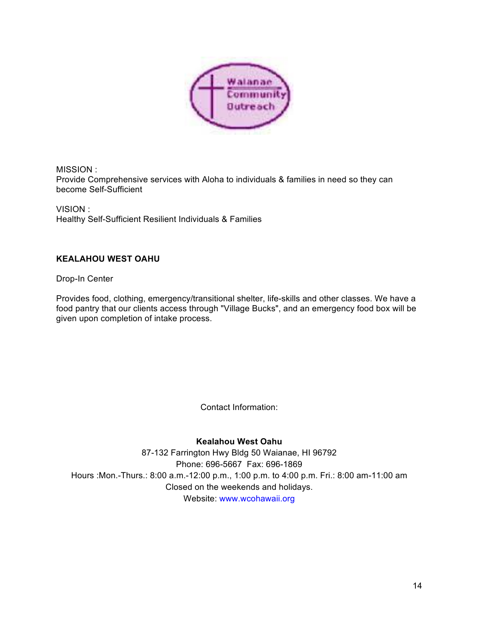

MISSION : Provide Comprehensive services with Aloha to individuals & families in need so they can become Self-Sufficient

VISION : Healthy Self-Sufficient Resilient Individuals & Families

#### **KEALAHOU WEST OAHU**

Drop-In Center

Provides food, clothing, emergency/transitional shelter, life-skills and other classes. We have a food pantry that our clients access through "Village Bucks", and an emergency food box will be given upon completion of intake process.

Contact Information:

**Kealahou West Oahu**

87-132 Farrington Hwy Bldg 50 Waianae, HI 96792 Phone: 696-5667 Fax: 696-1869 Hours :Mon.-Thurs.: 8:00 a.m.-12:00 p.m., 1:00 p.m. to 4:00 p.m. Fri.: 8:00 am-11:00 am Closed on the weekends and holidays. Website: www.wcohawaii.org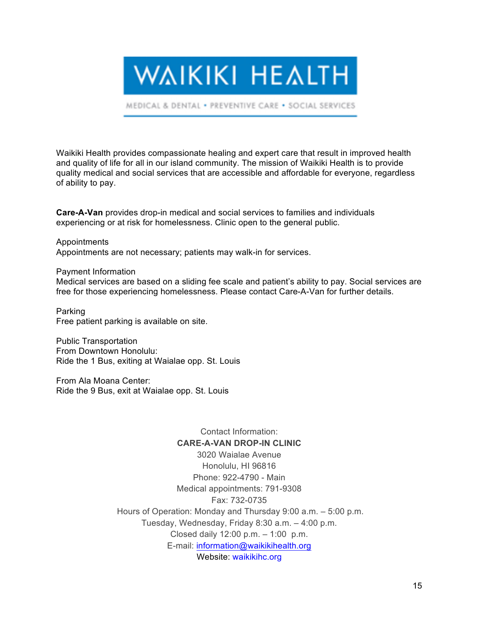**WAIKIKI HEALTH** 

MEDICAL & DENTAL . PREVENTIVE CARE . SOCIAL SERVICES

Waikiki Health provides compassionate healing and expert care that result in improved health and quality of life for all in our island community. The mission of Waikiki Health is to provide quality medical and social services that are accessible and affordable for everyone, regardless of ability to pay.

**Care-A-Van** provides drop-in medical and social services to families and individuals experiencing or at risk for homelessness. Clinic open to the general public.

Appointments Appointments are not necessary; patients may walk-in for services.

Payment Information Medical services are based on a sliding fee scale and patient's ability to pay. Social services are free for those experiencing homelessness. Please contact Care-A-Van for further details.

Parking Free patient parking is available on site.

Public Transportation From Downtown Honolulu: Ride the 1 Bus, exiting at Waialae opp. St. Louis

From Ala Moana Center: Ride the 9 Bus, exit at Waialae opp. St. Louis

> Contact Information: **CARE-A-VAN DROP-IN CLINIC** 3020 Waialae Avenue Honolulu, HI 96816 Phone: 922-4790 - Main Medical appointments: 791-9308 Fax: 732-0735 Hours of Operation: Monday and Thursday 9:00 a.m. – 5:00 p.m. Tuesday, Wednesday, Friday 8:30 a.m. – 4:00 p.m. Closed daily 12:00 p.m. – 1:00 p.m. E-mail: information@waikikihealth.org Website: waikikihc.org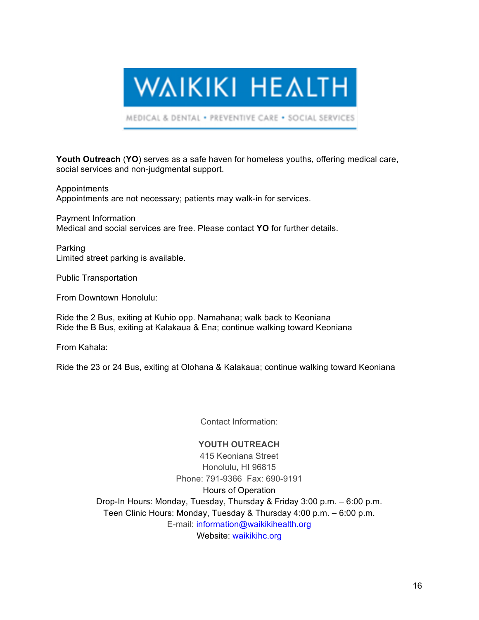**WAIKIKI HEALTH** 

MEDICAL & DENTAL . PREVENTIVE CARE . SOCIAL SERVICES

**Youth Outreach** (**YO**) serves as a safe haven for homeless youths, offering medical care, social services and non-judgmental support.

Appointments Appointments are not necessary; patients may walk-in for services.

Payment Information Medical and social services are free. Please contact **YO** for further details.

Parking Limited street parking is available.

Public Transportation

From Downtown Honolulu:

Ride the 2 Bus, exiting at Kuhio opp. Namahana; walk back to Keoniana Ride the B Bus, exiting at Kalakaua & Ena; continue walking toward Keoniana

From Kahala:

Ride the 23 or 24 Bus, exiting at Olohana & Kalakaua; continue walking toward Keoniana

Contact Information:

#### **YOUTH OUTREACH**

415 Keoniana Street Honolulu, HI 96815 Phone: 791-9366 Fax: 690-9191 Hours of Operation Drop-In Hours: Monday, Tuesday, Thursday & Friday 3:00 p.m. – 6:00 p.m. Teen Clinic Hours: Monday, Tuesday & Thursday 4:00 p.m. – 6:00 p.m. E-mail: information@waikikihealth.org Website: waikikihc.org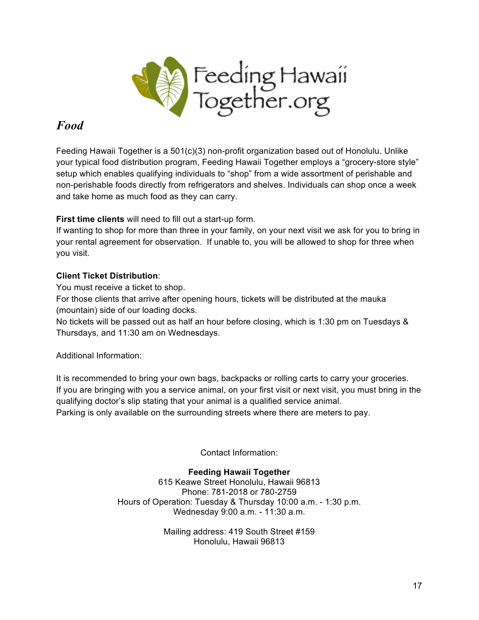

## *Food*

Feeding Hawaii Together is a 501(c)(3) non-profit organization based out of Honolulu. Unlike your typical food distribution program, Feeding Hawaii Together employs a "grocery-store style" setup which enables qualifying individuals to "shop" from a wide assortment of perishable and non-perishable foods directly from refrigerators and shelves. Individuals can shop once a week and take home as much food as they can carry.

**First time clients** will need to fill out a start-up form.

If wanting to shop for more than three in your family, on your next visit we ask for you to bring in your rental agreement for observation. If unable to, you will be allowed to shop for three when you visit.

## **Client Ticket Distribution**:

You must receive a ticket to shop.

For those clients that arrive after opening hours, tickets will be distributed at the mauka (mountain) side of our loading docks.

No tickets will be passed out as half an hour before closing, which is 1:30 pm on Tuesdays & Thursdays, and 11:30 am on Wednesdays.

Additional Information:

It is recommended to bring your own bags, backpacks or rolling carts to carry your groceries. If you are bringing with you a service animal, on your first visit or next visit, you must bring in the qualifying doctor's slip stating that your animal is a qualified service animal.

Parking is only available on the surrounding streets where there are meters to pay.

Contact Information:

## **Feeding Hawaii Together**

615 Keawe Street Honolulu, Hawaii 96813 Phone: 781-2018 or 780-2759 Hours of Operation: Tuesday & Thursday 10:00 a.m. - 1:30 p.m. Wednesday 9:00 a.m. - 11:30 a.m.

> Mailing address: 419 South Street #159 Honolulu, Hawaii 96813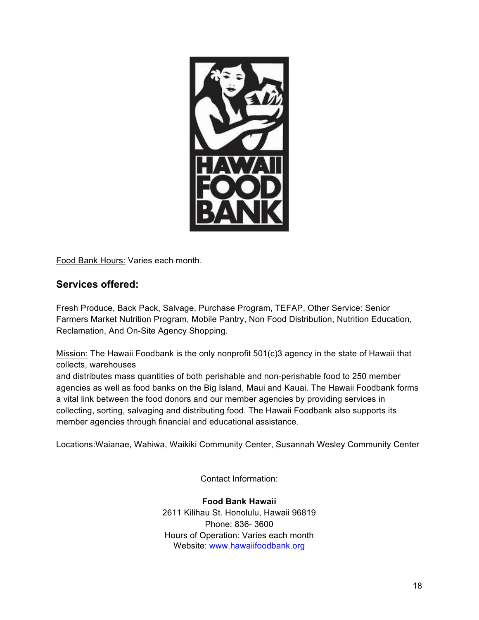

Food Bank Hours: Varies each month.

## **Services offered:**

Fresh Produce, Back Pack, Salvage, Purchase Program, TEFAP, Other Service: Senior Farmers Market Nutrition Program, Mobile Pantry, Non Food Distribution, Nutrition Education, Reclamation, And On-Site Agency Shopping.

Mission: The Hawaii Foodbank is the only nonprofit 501(c)3 agency in the state of Hawaii that collects, warehouses

and distributes mass quantities of both perishable and non-perishable food to 250 member agencies as well as food banks on the Big Island, Maui and Kauai. The Hawaii Foodbank forms a vital link between the food donors and our member agencies by providing services in collecting, sorting, salvaging and distributing food. The Hawaii Foodbank also supports its member agencies through financial and educational assistance.

Locations:Waianae, Wahiwa, Waikiki Community Center, Susannah Wesley Community Center

Contact Information:

**Food Bank Hawaii** 2611 Kilihau St. Honolulu, Hawaii 96819 Phone: 836- 3600 Hours of Operation: Varies each month Website: www.hawaiifoodbank.org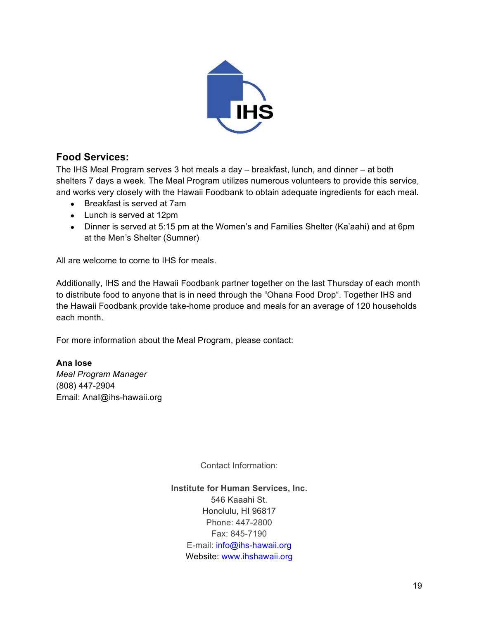

## **Food Services:**

The IHS Meal Program serves 3 hot meals a day – breakfast, lunch, and dinner – at both shelters 7 days a week. The Meal Program utilizes numerous volunteers to provide this service, and works very closely with the Hawaii Foodbank to obtain adequate ingredients for each meal.

- Breakfast is served at 7am
- Lunch is served at 12pm
- Dinner is served at 5:15 pm at the Women's and Families Shelter (Ka'aahi) and at 6pm at the Men's Shelter (Sumner)

All are welcome to come to IHS for meals.

Additionally, IHS and the Hawaii Foodbank partner together on the last Thursday of each month to distribute food to anyone that is in need through the "Ohana Food Drop". Together IHS and the Hawaii Foodbank provide take-home produce and meals for an average of 120 households each month.

For more information about the Meal Program, please contact:

#### **Ana Iose**

*Meal Program Manager* (808) 447-2904 Email: AnaI@ihs-hawaii.org

Contact Information:

**Institute for Human Services, Inc.** 546 Kaaahi St. Honolulu, HI 96817 Phone: 447-2800 Fax: 845-7190 E-mail: info@ihs-hawaii.org Website: www.ihshawaii.org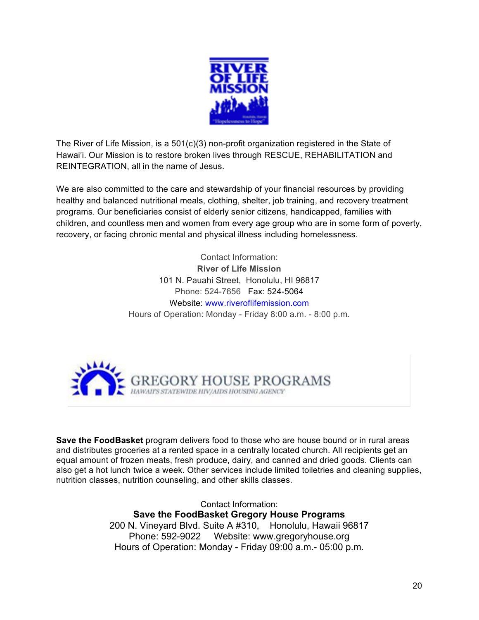

The River of Life Mission, is a 501(c)(3) non-profit organization registered in the State of Hawai'i. Our Mission is to restore broken lives through RESCUE, REHABILITATION and REINTEGRATION, all in the name of Jesus.

We are also committed to the care and stewardship of your financial resources by providing healthy and balanced nutritional meals, clothing, shelter, job training, and recovery treatment programs. Our beneficiaries consist of elderly senior citizens, handicapped, families with children, and countless men and women from every age group who are in some form of poverty, recovery, or facing chronic mental and physical illness including homelessness.

> Contact Information: **River of Life Mission** 101 N. Pauahi Street, Honolulu, HI 96817 Phone: 524-7656 Fax: 524-5064 Website: www.riveroflifemission.com Hours of Operation: Monday - Friday 8:00 a.m. - 8:00 p.m.



**Save the FoodBasket** program delivers food to those who are house bound or in rural areas and distributes groceries at a rented space in a centrally located church. All recipients get an equal amount of frozen meats, fresh produce, dairy, and canned and dried goods. Clients can also get a hot lunch twice a week. Other services include limited toiletries and cleaning supplies, nutrition classes, nutrition counseling, and other skills classes.

> Contact Information: **Save the FoodBasket Gregory House Programs** 200 N. Vineyard Blvd. Suite A #310, Honolulu, Hawaii 96817 Phone: 592-9022 Website: www.gregoryhouse.org Hours of Operation: Monday - Friday 09:00 a.m.- 05:00 p.m.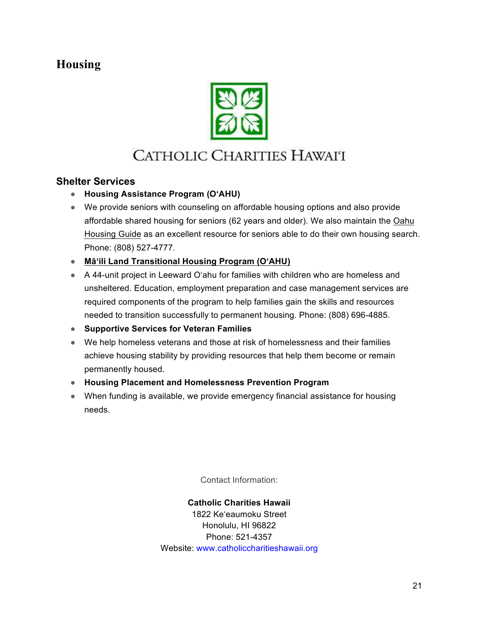## **Housing**



## CATHOLIC CHARITIES HAWAI'I

## **Shelter Services**

- **Housing Assistance Program (O'AHU)**
- We provide seniors with counseling on affordable housing options and also provide affordable shared housing for seniors (62 years and older). We also maintain the Oahu Housing Guide as an excellent resource for seniors able to do their own housing search. Phone: (808) 527-4777.
- **Mā'ili Land Transitional Housing Program (O'AHU)**
- A 44-unit project in Leeward O'ahu for families with children who are homeless and unsheltered. Education, employment preparation and case management services are required components of the program to help families gain the skills and resources needed to transition successfully to permanent housing. Phone: (808) 696-4885.
- **Supportive Services for Veteran Families**
- We help homeless veterans and those at risk of homelessness and their families achieve housing stability by providing resources that help them become or remain permanently housed.
- **Housing Placement and Homelessness Prevention Program**
- When funding is available, we provide emergency financial assistance for housing needs.

Contact Information:

**Catholic Charities Hawaii** 1822 Ke'eaumoku Street Honolulu, HI 96822 Phone: 521-4357 Website: www.catholiccharitieshawaii.org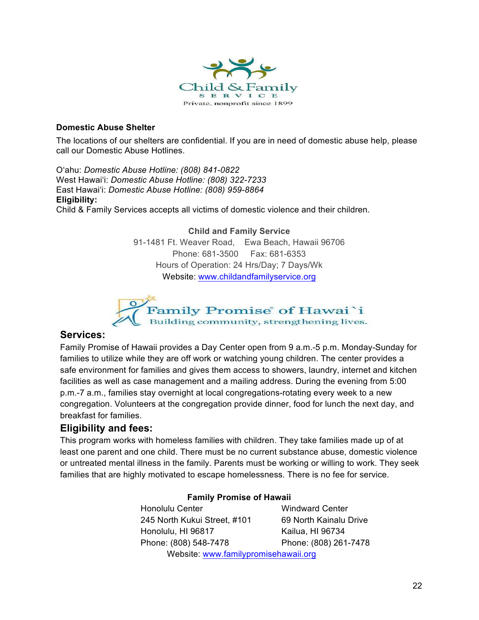

#### **Domestic Abuse Shelter**

The locations of our shelters are confidential. If you are in need of domestic abuse help, please call our Domestic Abuse Hotlines.

O'ahu: *Domestic Abuse Hotline: (808) 841-0822* West Hawai'i: *Domestic Abuse Hotline: (808) 322-7233* East Hawai'i: *Domestic Abuse Hotline: (808) 959-8864* **Eligibility:**

Child & Family Services accepts all victims of domestic violence and their children.

**Child and Family Service** 91-1481 Ft. Weaver Road, Ewa Beach, Hawaii 96706 Phone: 681-3500 Fax: 681-6353 Hours of Operation: 24 Hrs/Day; 7 Days/Wk Website: www.childandfamilyservice.org



#### **Services:**

Family Promise of Hawaii provides a Day Center open from 9 a.m.-5 p.m. Monday-Sunday for families to utilize while they are off work or watching young children. The center provides a safe environment for families and gives them access to showers, laundry, internet and kitchen facilities as well as case management and a mailing address. During the evening from 5:00 p.m.-7 a.m., families stay overnight at local congregations-rotating every week to a new congregation. Volunteers at the congregation provide dinner, food for lunch the next day, and breakfast for families.

## **Eligibility and fees:**

This program works with homeless families with children. They take families made up of at least one parent and one child. There must be no current substance abuse, domestic violence or untreated mental illness in the family. Parents must be working or willing to work. They seek families that are highly motivated to escape homelessness. There is no fee for service.

#### **Family Promise of Hawaii**

Honolulu Center Windward Center 245 North Kukui Street, #101 69 North Kainalu Drive Honolulu, HI 96817 Kailua, HI 96734 Phone: (808) 548-7478 Phone: (808) 261-7478 Website: www.familypromisehawaii.org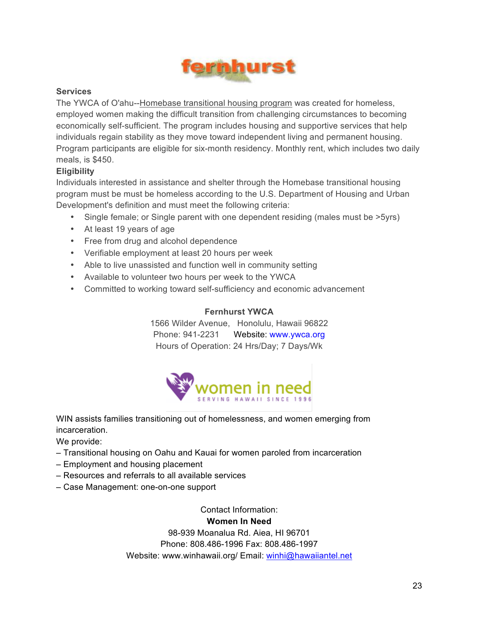

#### **Services**

The YWCA of O'ahu--Homebase transitional housing program was created for homeless, employed women making the difficult transition from challenging circumstances to becoming economically self-sufficient. The program includes housing and supportive services that help individuals regain stability as they move toward independent living and permanent housing. Program participants are eligible for six-month residency. Monthly rent, which includes two daily meals, is \$450.

#### **Eligibility**

Individuals interested in assistance and shelter through the Homebase transitional housing program must be must be homeless according to the U.S. Department of Housing and Urban Development's definition and must meet the following criteria:

- Single female; or Single parent with one dependent residing (males must be >5yrs)
- At least 19 years of age
- Free from drug and alcohol dependence
- Verifiable employment at least 20 hours per week
- Able to live unassisted and function well in community setting
- Available to volunteer two hours per week to the YWCA
- Committed to working toward self-sufficiency and economic advancement

#### **Fernhurst YWCA**

1566 Wilder Avenue, Honolulu, Hawaii 96822 Phone: 941-2231 Website: www.ywca.org Hours of Operation: 24 Hrs/Day; 7 Days/Wk



WIN assists families transitioning out of homelessness, and women emerging from incarceration.

We provide:

- Transitional housing on Oahu and Kauai for women paroled from incarceration
- Employment and housing placement
- Resources and referrals to all available services
- Case Management: one-on-one support

Contact Information:

#### **Women In Need**

98-939 Moanalua Rd. Aiea, HI 96701 Phone: 808.486-1996 Fax: 808.486-1997 Website: www.winhawaii.org/ Email: winhi@hawaiiantel.net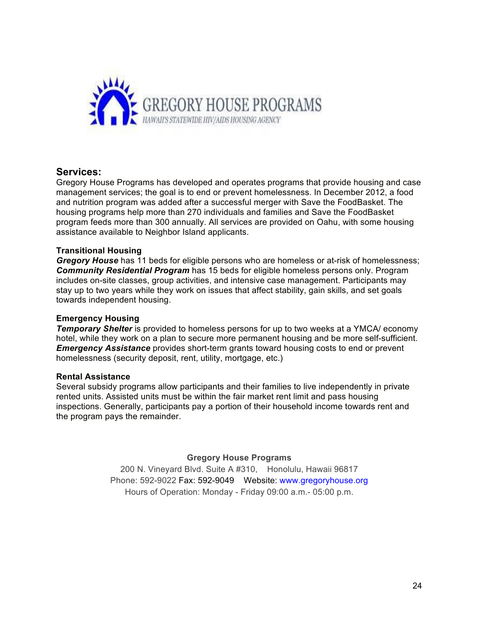

#### **Services:**

Gregory House Programs has developed and operates programs that provide housing and case management services; the goal is to end or prevent homelessness. In December 2012, a food and nutrition program was added after a successful merger with Save the FoodBasket. The housing programs help more than 270 individuals and families and Save the FoodBasket program feeds more than 300 annually. All services are provided on Oahu, with some housing assistance available to Neighbor Island applicants.

#### **Transitional Housing**

*Gregory House* has 11 beds for eligible persons who are homeless or at-risk of homelessness; *Community Residential Program* has 15 beds for eligible homeless persons only. Program includes on-site classes, group activities, and intensive case management. Participants may stay up to two years while they work on issues that affect stability, gain skills, and set goals towards independent housing.

#### **Emergency Housing**

*Temporary Shelter* is provided to homeless persons for up to two weeks at a YMCA/ economy hotel, while they work on a plan to secure more permanent housing and be more self-sufficient. *Emergency Assistance* provides short-term grants toward housing costs to end or prevent homelessness (security deposit, rent, utility, mortgage, etc.)

#### **Rental Assistance**

Several subsidy programs allow participants and their families to live independently in private rented units. Assisted units must be within the fair market rent limit and pass housing inspections. Generally, participants pay a portion of their household income towards rent and the program pays the remainder.

#### **Gregory House Programs**

200 N. Vineyard Blvd. Suite A #310, Honolulu, Hawaii 96817 Phone: 592-9022 Fax: 592-9049 Website: www.gregoryhouse.org Hours of Operation: Monday - Friday 09:00 a.m.- 05:00 p.m.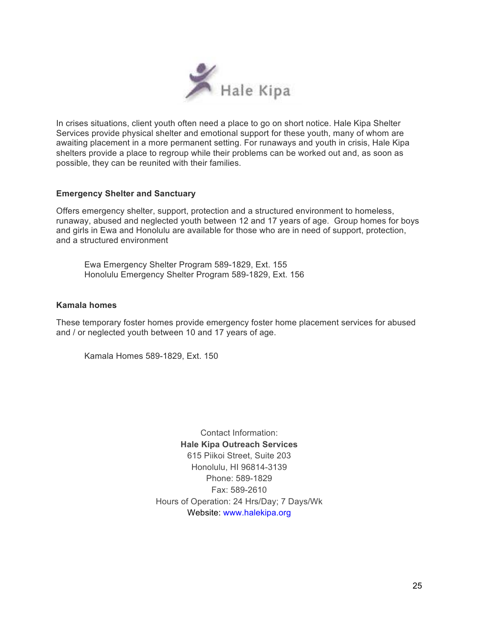

In crises situations, client youth often need a place to go on short notice. Hale Kipa Shelter Services provide physical shelter and emotional support for these youth, many of whom are awaiting placement in a more permanent setting. For runaways and youth in crisis, Hale Kipa shelters provide a place to regroup while their problems can be worked out and, as soon as possible, they can be reunited with their families.

#### **Emergency Shelter and Sanctuary**

Offers emergency shelter, support, protection and a structured environment to homeless, runaway, abused and neglected youth between 12 and 17 years of age. Group homes for boys and girls in Ewa and Honolulu are available for those who are in need of support, protection, and a structured environment

Ewa Emergency Shelter Program 589-1829, Ext. 155 Honolulu Emergency Shelter Program 589-1829, Ext. 156

#### **Kamala homes**

These temporary foster homes provide emergency foster home placement services for abused and / or neglected youth between 10 and 17 years of age.

Kamala Homes 589-1829, Ext. 150

Contact Information: **Hale Kipa Outreach Services** 615 Piikoi Street, Suite 203 Honolulu, HI 96814-3139 Phone: 589-1829 Fax: 589-2610 Hours of Operation: 24 Hrs/Day; 7 Days/Wk Website: www.halekipa.org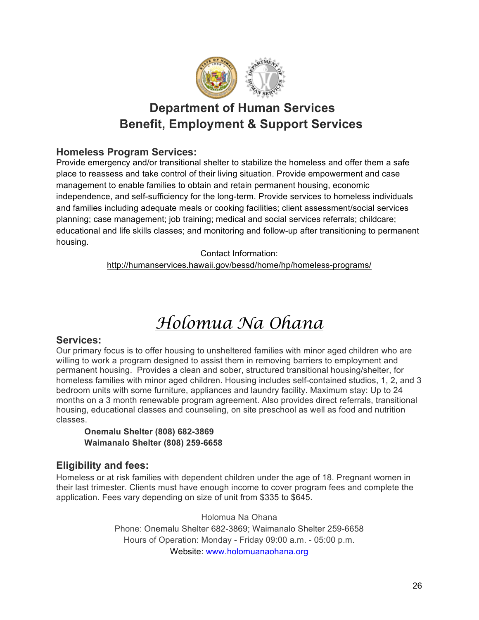

## **Department of Human Services Benefit, Employment & Support Services**

## **Homeless Program Services:**

Provide emergency and/or transitional shelter to stabilize the homeless and offer them a safe place to reassess and take control of their living situation. Provide empowerment and case management to enable families to obtain and retain permanent housing, economic independence, and self-sufficiency for the long-term. Provide services to homeless individuals and families including adequate meals or cooking facilities; client assessment/social services planning; case management; job training; medical and social services referrals; childcare; educational and life skills classes; and monitoring and follow-up after transitioning to permanent housing.

Contact Information:

http://humanservices.hawaii.gov/bessd/home/hp/homeless-programs/

## *Holomua Na Ohana*

#### **Services:**

Our primary focus is to offer housing to unsheltered families with minor aged children who are willing to work a program designed to assist them in removing barriers to employment and permanent housing. Provides a clean and sober, structured transitional housing/shelter, for homeless families with minor aged children. Housing includes self-contained studios, 1, 2, and 3 bedroom units with some furniture, appliances and laundry facility. Maximum stay: Up to 24 months on a 3 month renewable program agreement. Also provides direct referrals, transitional housing, educational classes and counseling, on site preschool as well as food and nutrition classes.

#### **Onemalu Shelter (808) 682-3869 Waimanalo Shelter (808) 259-6658**

## **Eligibility and fees:**

Homeless or at risk families with dependent children under the age of 18. Pregnant women in their last trimester. Clients must have enough income to cover program fees and complete the application. Fees vary depending on size of unit from \$335 to \$645.

> Holomua Na Ohana Phone: Onemalu Shelter 682-3869; Waimanalo Shelter 259-6658 Hours of Operation: Monday - Friday 09:00 a.m. - 05:00 p.m. Website: www.holomuanaohana.org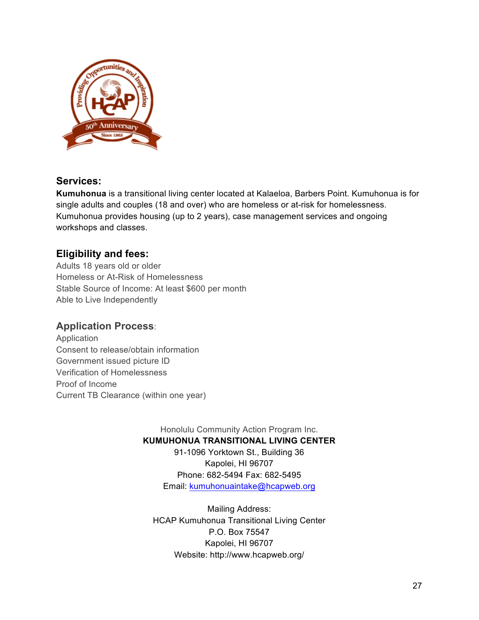

## **Services:**

**Kumuhonua** is a transitional living center located at Kalaeloa, Barbers Point. Kumuhonua is for single adults and couples (18 and over) who are homeless or at-risk for homelessness. Kumuhonua provides housing (up to 2 years), case management services and ongoing workshops and classes.

## **Eligibility and fees:**

Adults 18 years old or older Homeless or At-Risk of Homelessness Stable Source of Income: At least \$600 per month Able to Live Independently

## **Application Process**:

Application Consent to release/obtain information Government issued picture ID Verification of Homelessness Proof of Income Current TB Clearance (within one year)

> Honolulu Community Action Program Inc. **KUMUHONUA TRANSITIONAL LIVING CENTER** 91-1096 Yorktown St., Building 36

Kapolei, HI 96707 Phone: 682-5494 Fax: 682-5495 Email: kumuhonuaintake@hcapweb.org

Mailing Address: HCAP Kumuhonua Transitional Living Center P.O. Box 75547 Kapolei, HI 96707 Website: http://www.hcapweb.org/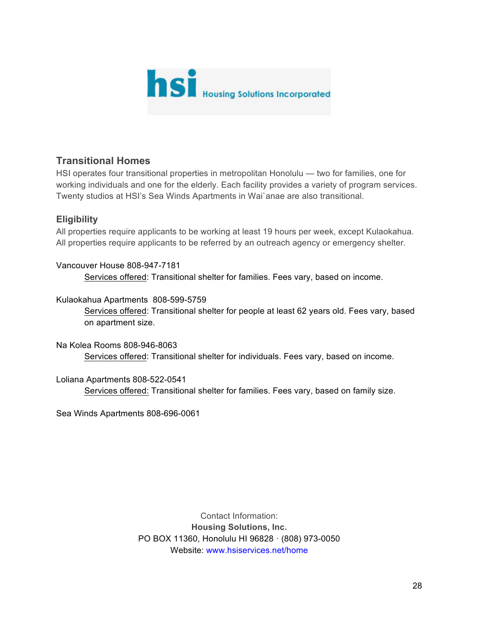

## **Transitional Homes**

HSI operates four transitional properties in metropolitan Honolulu — two for families, one for working individuals and one for the elderly. Each facility provides a variety of program services. Twenty studios at HSI's Sea Winds Apartments in Wai`anae are also transitional.

## **Eligibility**

All properties require applicants to be working at least 19 hours per week, except Kulaokahua. All properties require applicants to be referred by an outreach agency or emergency shelter.

Vancouver House 808-947-7181 Services offered: Transitional shelter for families. Fees vary, based on income.

#### Kulaokahua Apartments 808-599-5759

Services offered: Transitional shelter for people at least 62 years old. Fees vary, based on apartment size.

Na Kolea Rooms 808-946-8063 Services offered: Transitional shelter for individuals. Fees vary, based on income.

#### Loliana Apartments 808-522-0541

Services offered: Transitional shelter for families. Fees vary, based on family size.

Sea Winds Apartments 808-696-0061

Contact Information: **Housing Solutions, Inc.** PO BOX 11360, Honolulu HI 96828 · (808) 973-0050 Website: www.hsiservices.net/home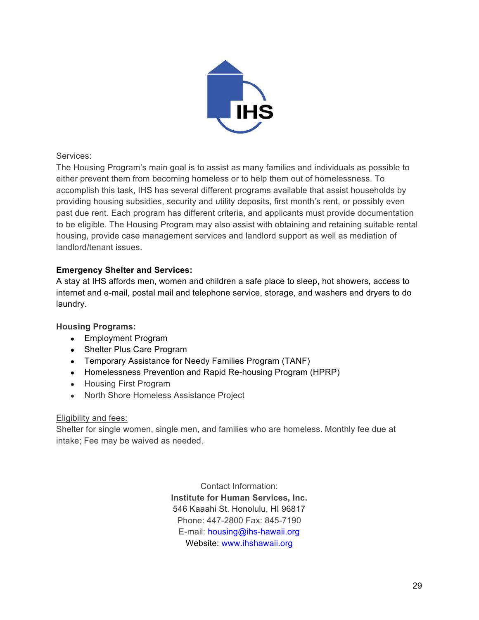

Services:

The Housing Program's main goal is to assist as many families and individuals as possible to either prevent them from becoming homeless or to help them out of homelessness. To accomplish this task, IHS has several different programs available that assist households by providing housing subsidies, security and utility deposits, first month's rent, or possibly even past due rent. Each program has different criteria, and applicants must provide documentation to be eligible. The Housing Program may also assist with obtaining and retaining suitable rental housing, provide case management services and landlord support as well as mediation of landlord/tenant issues.

#### **Emergency Shelter and Services:**

A stay at IHS affords men, women and children a safe place to sleep, hot showers, access to internet and e-mail, postal mail and telephone service, storage, and washers and dryers to do laundry.

#### **Housing Programs:**

- Employment Program
- Shelter Plus Care Program
- Temporary Assistance for Needy Families Program (TANF)
- Homelessness Prevention and Rapid Re-housing Program (HPRP)
- Housing First Program
- North Shore Homeless Assistance Project

#### Eligibility and fees:

Shelter for single women, single men, and families who are homeless. Monthly fee due at intake; Fee may be waived as needed.

> Contact Information: **Institute for Human Services, Inc.** 546 Kaaahi St. Honolulu, HI 96817 Phone: 447-2800 Fax: 845-7190 E-mail: housing@ihs-hawaii.org Website: www.ihshawaii.org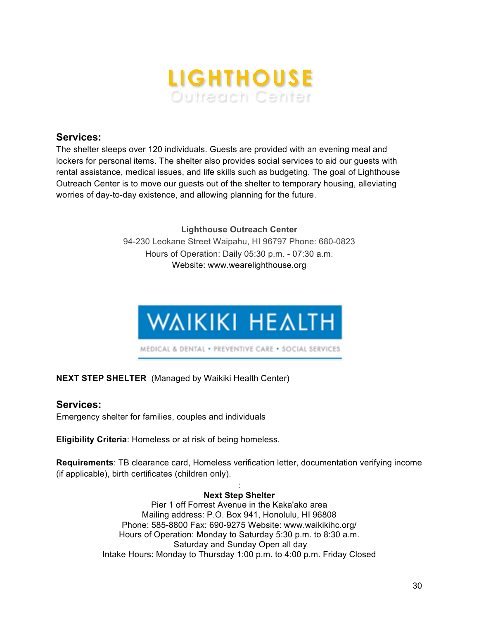

#### **Services:**

The shelter sleeps over 120 individuals. Guests are provided with an evening meal and lockers for personal items. The shelter also provides social services to aid our guests with rental assistance, medical issues, and life skills such as budgeting. The goal of Lighthouse Outreach Center is to move our guests out of the shelter to temporary housing, alleviating worries of day-to-day existence, and allowing planning for the future.

> **Lighthouse Outreach Center** 94-230 Leokane Street Waipahu, HI 96797 Phone: 680-0823 Hours of Operation: Daily 05:30 p.m. - 07:30 a.m. Website: www.wearelighthouse.org



#### **NEXT STEP SHELTER** (Managed by Waikiki Health Center)

#### **Services:**

Emergency shelter for families, couples and individuals

**Eligibility Criteria**: Homeless or at risk of being homeless.

**Requirements**: TB clearance card, Homeless verification letter, documentation verifying income (if applicable), birth certificates (children only).

#### : **Next Step Shelter**

Pier 1 off Forrest Avenue in the Kaka'ako area Mailing address: P.O. Box 941, Honolulu, HI 96808 Phone: 585-8800 Fax: 690-9275 Website: www.waikikihc.org/ Hours of Operation: Monday to Saturday 5:30 p.m. to 8:30 a.m. Saturday and Sunday Open all day Intake Hours: Monday to Thursday 1:00 p.m. to 4:00 p.m. Friday Closed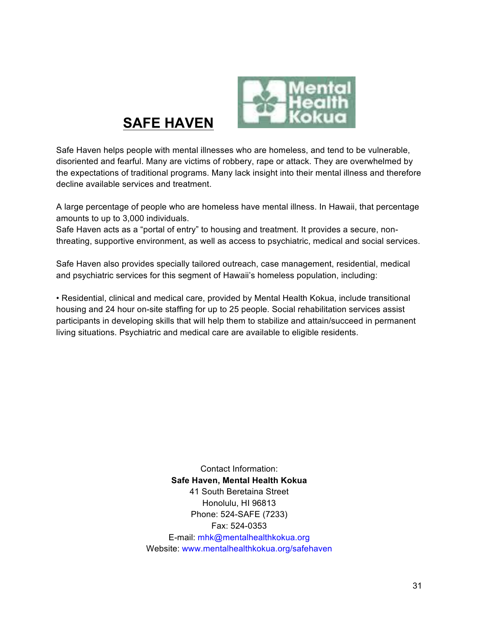

**SAFE HAVEN**

Safe Haven helps people with mental illnesses who are homeless, and tend to be vulnerable, disoriented and fearful. Many are victims of robbery, rape or attack. They are overwhelmed by the expectations of traditional programs. Many lack insight into their mental illness and therefore decline available services and treatment.

A large percentage of people who are homeless have mental illness. In Hawaii, that percentage amounts to up to 3,000 individuals.

Safe Haven acts as a "portal of entry" to housing and treatment. It provides a secure, nonthreating, supportive environment, as well as access to psychiatric, medical and social services.

Safe Haven also provides specially tailored outreach, case management, residential, medical and psychiatric services for this segment of Hawaii's homeless population, including:

• Residential, clinical and medical care, provided by Mental Health Kokua, include transitional housing and 24 hour on-site staffing for up to 25 people. Social rehabilitation services assist participants in developing skills that will help them to stabilize and attain/succeed in permanent living situations. Psychiatric and medical care are available to eligible residents.

> Contact Information: **Safe Haven, Mental Health Kokua**  41 South Beretaina Street Honolulu, HI 96813 Phone: 524-SAFE (7233) Fax: 524-0353 E-mail: mhk@mentalhealthkokua.org Website: www.mentalhealthkokua.org/safehaven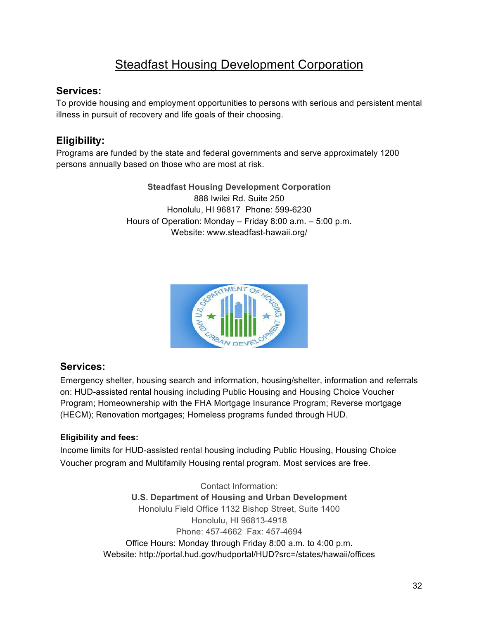## Steadfast Housing Development Corporation

## **Services:**

To provide housing and employment opportunities to persons with serious and persistent mental illness in pursuit of recovery and life goals of their choosing.

## **Eligibility:**

Programs are funded by the state and federal governments and serve approximately 1200 persons annually based on those who are most at risk.

> **Steadfast Housing Development Corporation** 888 Iwilei Rd. Suite 250 Honolulu, HI 96817 Phone: 599-6230 Hours of Operation: Monday – Friday 8:00 a.m. – 5:00 p.m. Website: www.steadfast-hawaii.org/



## **Services:**

Emergency shelter, housing search and information, housing/shelter, information and referrals on: HUD-assisted rental housing including Public Housing and Housing Choice Voucher Program; Homeownership with the FHA Mortgage Insurance Program; Reverse mortgage (HECM); Renovation mortgages; Homeless programs funded through HUD.

## **Eligibility and fees:**

Income limits for HUD-assisted rental housing including Public Housing, Housing Choice Voucher program and Multifamily Housing rental program. Most services are free.

> Contact Information: **U.S. Department of Housing and Urban Development** Honolulu Field Office 1132 Bishop Street, Suite 1400 Honolulu, HI 96813-4918 Phone: 457-4662 Fax: 457-4694 Office Hours: Monday through Friday 8:00 a.m. to 4:00 p.m. Website: http://portal.hud.gov/hudportal/HUD?src=/states/hawaii/offices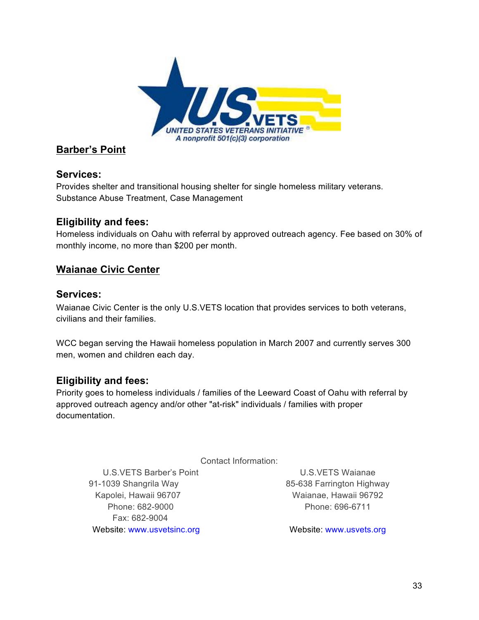

## **Barber's Point**

## **Services:**

Provides shelter and transitional housing shelter for single homeless military veterans. Substance Abuse Treatment, Case Management

## **Eligibility and fees:**

Homeless individuals on Oahu with referral by approved outreach agency. Fee based on 30% of monthly income, no more than \$200 per month.

## **Waianae Civic Center**

## **Services:**

Waianae Civic Center is the only U.S.VETS location that provides services to both veterans, civilians and their families.

WCC began serving the Hawaii homeless population in March 2007 and currently serves 300 men, women and children each day.

## **Eligibility and fees:**

Priority goes to homeless individuals / families of the Leeward Coast of Oahu with referral by approved outreach agency and/or other "at-risk" individuals / families with proper documentation.

Contact Information:

91-1039 Shangrila Way 85-638 Farrington Highway Kapolei, Hawaii 96707 Waianae, Hawaii 96792 Phone: 682-9000 **Phone: 696-6711** Fax: 682-9004 Website: www.usvetsinc.org Website: www.usvets.org

U.S.VETS Barber's Point Communication CONS.VETS Waianae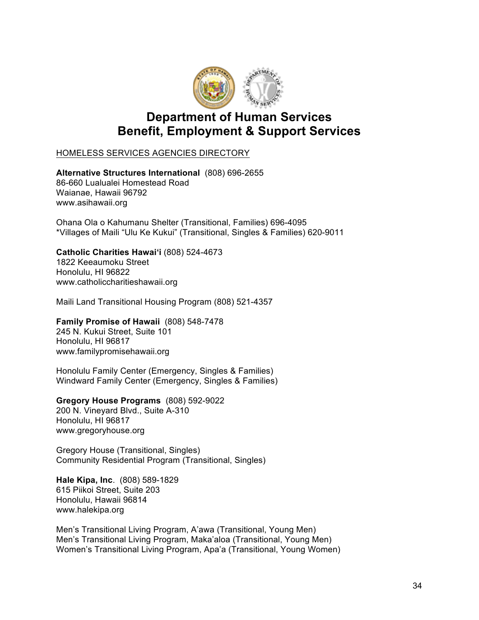

## **Department of Human Services Benefit, Employment & Support Services**

#### HOMELESS SERVICES AGENCIES DIRECTORY

#### **Alternative Structures International** (808) 696-2655

86-660 Lualualei Homestead Road Waianae, Hawaii 96792 www.asihawaii.org

Ohana Ola o Kahumanu Shelter (Transitional, Families) 696-4095 \*Villages of Maili "Ulu Ke Kukui" (Transitional, Singles & Families) 620-9011

#### **Catholic Charities Hawai'i** (808) 524-4673

1822 Keeaumoku Street Honolulu, HI 96822 www.catholiccharitieshawaii.org

Maili Land Transitional Housing Program (808) 521-4357

## **Family Promise of Hawaii** (808) 548-7478

245 N. Kukui Street, Suite 101 Honolulu, HI 96817 www.familypromisehawaii.org

Honolulu Family Center (Emergency, Singles & Families) Windward Family Center (Emergency, Singles & Families)

#### **Gregory House Programs** (808) 592-9022 200 N. Vineyard Blvd., Suite A-310 Honolulu, HI 96817 www.gregoryhouse.org

Gregory House (Transitional, Singles) Community Residential Program (Transitional, Singles)

**Hale Kipa, Inc**. (808) 589-1829 615 Piikoi Street, Suite 203 Honolulu, Hawaii 96814 www.halekipa.org

Men's Transitional Living Program, A'awa (Transitional, Young Men) Men's Transitional Living Program, Maka'aloa (Transitional, Young Men) Women's Transitional Living Program, Apa'a (Transitional, Young Women)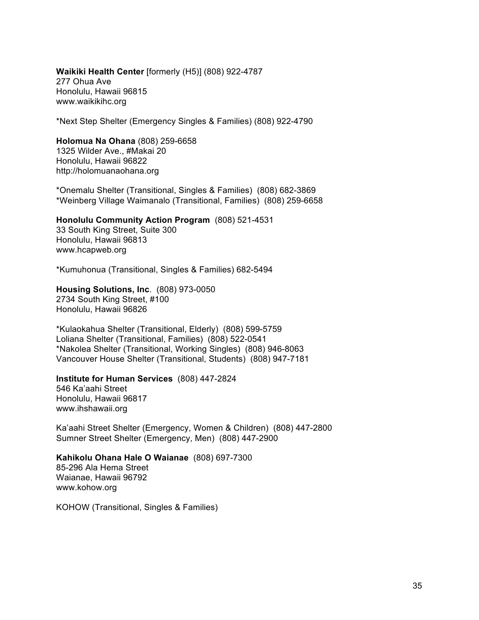#### **Waikiki Health Center** [formerly (H5)] (808) 922-4787 277 Ohua Ave Honolulu, Hawaii 96815 www.waikikihc.org

\*Next Step Shelter (Emergency Singles & Families) (808) 922-4790

#### **Holomua Na Ohana** (808) 259-6658 1325 Wilder Ave., #Makai 20

Honolulu, Hawaii 96822 http://holomuanaohana.org

\*Onemalu Shelter (Transitional, Singles & Families) (808) 682-3869 \*Weinberg Village Waimanalo (Transitional, Families) (808) 259-6658

**Honolulu Community Action Program** (808) 521-4531 33 South King Street, Suite 300 Honolulu, Hawaii 96813 www.hcapweb.org

\*Kumuhonua (Transitional, Singles & Families) 682-5494

**Housing Solutions, Inc**. (808) 973-0050 2734 South King Street, #100 Honolulu, Hawaii 96826

\*Kulaokahua Shelter (Transitional, Elderly) (808) 599-5759 Loliana Shelter (Transitional, Families) (808) 522-0541 \*Nakolea Shelter (Transitional, Working Singles) (808) 946-8063 Vancouver House Shelter (Transitional, Students) (808) 947-7181

#### **Institute for Human Services** (808) 447-2824

546 Ka'aahi Street Honolulu, Hawaii 96817 www.ihshawaii.org

Ka'aahi Street Shelter (Emergency, Women & Children) (808) 447-2800 Sumner Street Shelter (Emergency, Men) (808) 447-2900

## **Kahikolu Ohana Hale O Waianae** (808) 697-7300

85-296 Ala Hema Street Waianae, Hawaii 96792 www.kohow.org

KOHOW (Transitional, Singles & Families)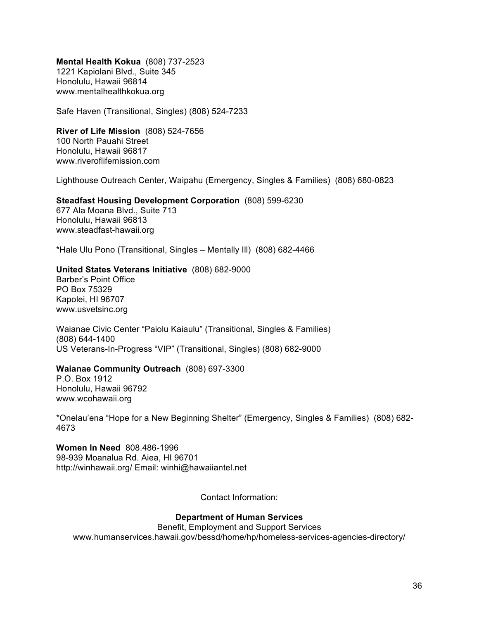**Mental Health Kokua** (808) 737-2523 1221 Kapiolani Blvd., Suite 345 Honolulu, Hawaii 96814 www.mentalhealthkokua.org

Safe Haven (Transitional, Singles) (808) 524-7233

**River of Life Mission** (808) 524-7656 100 North Pauahi Street Honolulu, Hawaii 96817 www.riveroflifemission.com

Lighthouse Outreach Center, Waipahu (Emergency, Singles & Families) (808) 680-0823

**Steadfast Housing Development Corporation** (808) 599-6230

677 Ala Moana Blvd., Suite 713 Honolulu, Hawaii 96813 www.steadfast-hawaii.org

\*Hale Ulu Pono (Transitional, Singles – Mentally Ill) (808) 682-4466

#### **United States Veterans Initiative** (808) 682-9000

Barber's Point Office PO Box 75329 Kapolei, HI 96707 www.usvetsinc.org

Waianae Civic Center "Paiolu Kaiaulu" (Transitional, Singles & Families) (808) 644-1400 US Veterans-In-Progress "VIP" (Transitional, Singles) (808) 682-9000

#### **Waianae Community Outreach** (808) 697-3300

P.O. Box 1912 Honolulu, Hawaii 96792 www.wcohawaii.org

\*Onelau'ena "Hope for a New Beginning Shelter" (Emergency, Singles & Families) (808) 682- 4673

**Women In Need** 808.486-1996 98-939 Moanalua Rd. Aiea, HI 96701 http://winhawaii.org/ Email: winhi@hawaiiantel.net

Contact Information:

#### **Department of Human Services**

Benefit, Employment and Support Services www.humanservices.hawaii.gov/bessd/home/hp/homeless-services-agencies-directory/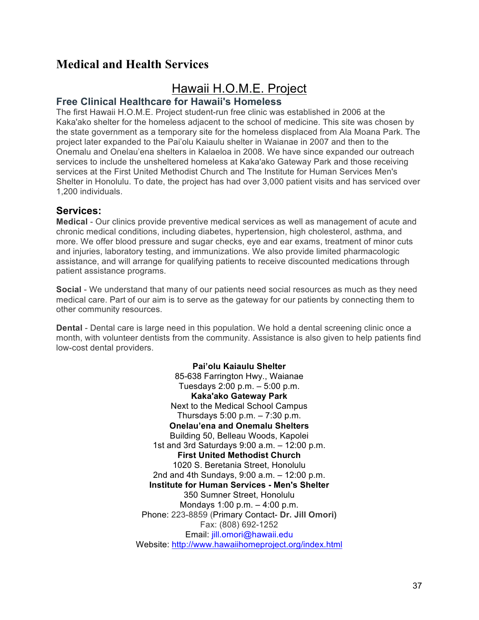## **Medical and Health Services**

## Hawaii H.O.M.E. Project

#### **Free Clinical Healthcare for Hawaii's Homeless**

The first Hawaii H.O.M.E. Project student-run free clinic was established in 2006 at the Kaka'ako shelter for the homeless adjacent to the school of medicine. This site was chosen by the state government as a temporary site for the homeless displaced from Ala Moana Park. The project later expanded to the Pai'olu Kaiaulu shelter in Waianae in 2007 and then to the Onemalu and Onelau'ena shelters in Kalaeloa in 2008. We have since expanded our outreach services to include the unsheltered homeless at Kaka'ako Gateway Park and those receiving services at the First United Methodist Church and The Institute for Human Services Men's Shelter in Honolulu. To date, the project has had over 3,000 patient visits and has serviced over 1,200 individuals.

#### **Services:**

**Medical** - Our clinics provide preventive medical services as well as management of acute and chronic medical conditions, including diabetes, hypertension, high cholesterol, asthma, and more. We offer blood pressure and sugar checks, eye and ear exams, treatment of minor cuts and injuries, laboratory testing, and immunizations. We also provide limited pharmacologic assistance, and will arrange for qualifying patients to receive discounted medications through patient assistance programs.

**Social** - We understand that many of our patients need social resources as much as they need medical care. Part of our aim is to serve as the gateway for our patients by connecting them to other community resources.

**Dental** - Dental care is large need in this population. We hold a dental screening clinic once a month, with volunteer dentists from the community. Assistance is also given to help patients find low-cost dental providers.

> **Pai'olu Kaiaulu Shelter** 85-638 Farrington Hwy., Waianae Tuesdays 2:00 p.m. – 5:00 p.m. **Kaka'ako Gateway Park** Next to the Medical School Campus Thursdays 5:00 p.m. – 7:30 p.m. **Onelau'ena and Onemalu Shelters** Building 50, Belleau Woods, Kapolei 1st and 3rd Saturdays 9:00 a.m. – 12:00 p.m. **First United Methodist Church** 1020 S. Beretania Street, Honolulu 2nd and 4th Sundays, 9:00 a.m. – 12:00 p.m. **Institute for Human Services - Men's Shelter** 350 Sumner Street, Honolulu Mondays 1:00 p.m. – 4:00 p.m. Phone: 223-8859 (Primary Contact- **Dr. Jill Omori)** Fax: (808) 692-1252 Email: jill.omori@hawaii.edu Website: http://www.hawaiihomeproject.org/index.html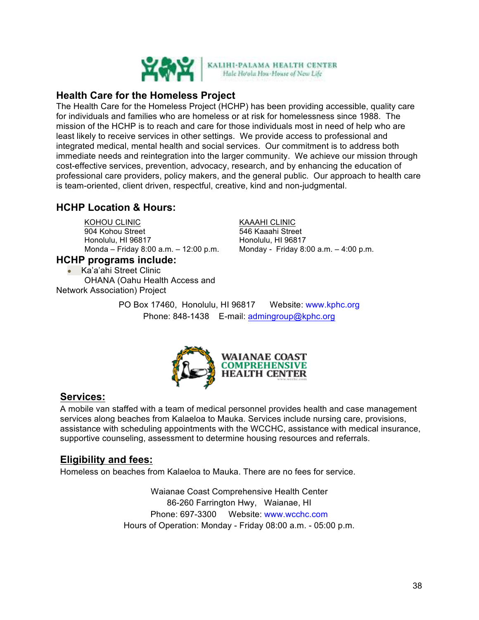

## **Health Care for the Homeless Project**

The Health Care for the Homeless Project (HCHP) has been providing accessible, quality care for individuals and families who are homeless or at risk for homelessness since 1988. The mission of the HCHP is to reach and care for those individuals most in need of help who are least likely to receive services in other settings. We provide access to professional and integrated medical, mental health and social services. Our commitment is to address both immediate needs and reintegration into the larger community. We achieve our mission through cost-effective services, prevention, advocacy, research, and by enhancing the education of professional care providers, policy makers, and the general public. Our approach to health care is team-oriented, client driven, respectful, creative, kind and non-judgmental.

## **HCHP Location & Hours:**

KOHOU CLINIC 904 Kohou Street Honolulu, HI 96817 Monda – Friday 8:00 a.m. – 12:00 p.m.

**HCHP programs include:** • Ka'a'ahi Street Clinic

OHANA (Oahu Health Access and Network Association) Project

KAAAHI CLINIC

546 Kaaahi Street Honolulu, HI 96817 Monday - Friday 8:00 a.m. – 4:00 p.m.

PO Box 17460, Honolulu, HI 96817 Website: www.kphc.org Phone: 848-1438 E-mail: admingroup@kphc.org



## **Services:**

A mobile van staffed with a team of medical personnel provides health and case management services along beaches from Kalaeloa to Mauka. Services include nursing care, provisions, assistance with scheduling appointments with the WCCHC, assistance with medical insurance, supportive counseling, assessment to determine housing resources and referrals.

## **Eligibility and fees:**

Homeless on beaches from Kalaeloa to Mauka. There are no fees for service.

Waianae Coast Comprehensive Health Center 86-260 Farrington Hwy, Waianae, HI Phone: 697-3300 Website: www.wcchc.com Hours of Operation: Monday - Friday 08:00 a.m. - 05:00 p.m.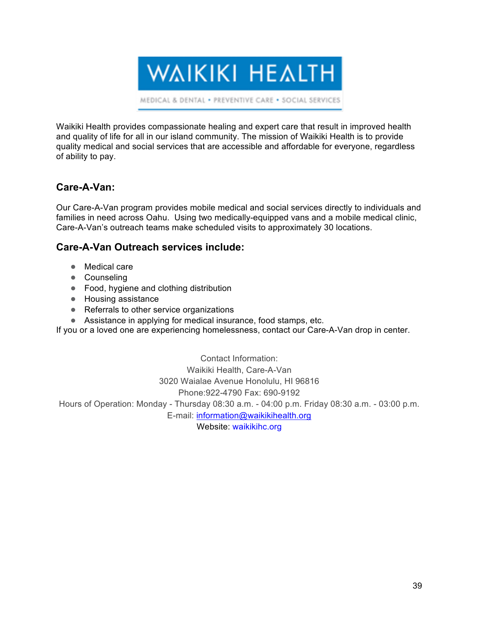**WAIKIKI HEALTH** 

MEDICAL & DENTAL . PREVENTIVE CARE . SOCIAL SERVICES

Waikiki Health provides compassionate healing and expert care that result in improved health and quality of life for all in our island community. The mission of Waikiki Health is to provide quality medical and social services that are accessible and affordable for everyone, regardless of ability to pay.

## **Care-A-Van:**

Our Care-A-Van program provides mobile medical and social services directly to individuals and families in need across Oahu. Using two medically-equipped vans and a mobile medical clinic, Care-A-Van's outreach teams make scheduled visits to approximately 30 locations.

#### **Care-A-Van Outreach services include:**

- Medical care
- Counseling
- Food, hygiene and clothing distribution
- Housing assistance
- Referrals to other service organizations
- Assistance in applying for medical insurance, food stamps, etc.

If you or a loved one are experiencing homelessness, contact our Care-A-Van drop in center.

Contact Information: Waikiki Health, Care-A-Van 3020 Waialae Avenue Honolulu, HI 96816 Phone:922-4790 Fax: 690-9192

Hours of Operation: Monday - Thursday 08:30 a.m. - 04:00 p.m. Friday 08:30 a.m. - 03:00 p.m.

E-mail: information@waikikihealth.org

Website: waikikihc.org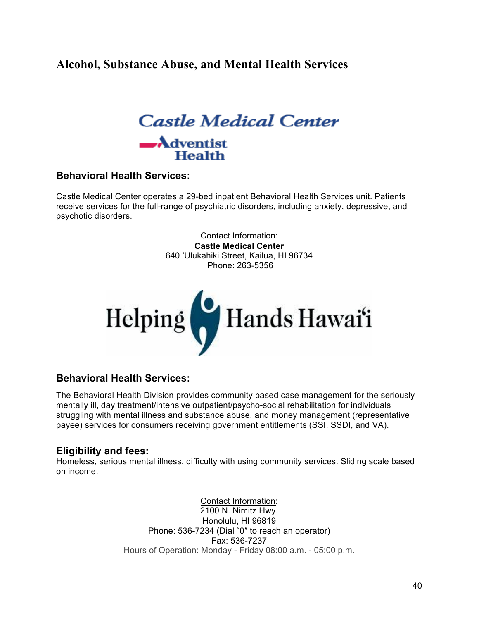## **Alcohol, Substance Abuse, and Mental Health Services**



#### **Behavioral Health Services:**

Castle Medical Center operates a 29-bed inpatient Behavioral Health Services unit. Patients receive services for the full-range of psychiatric disorders, including anxiety, depressive, and psychotic disorders.

> Contact Information: **Castle Medical Center** 640 'Ulukahiki Street, Kailua, HI 96734 Phone: 263-5356



#### **Behavioral Health Services:**

The Behavioral Health Division provides community based case management for the seriously mentally ill, day treatment/intensive outpatient/psycho-social rehabilitation for individuals struggling with mental illness and substance abuse, and money management (representative payee) services for consumers receiving government entitlements (SSI, SSDI, and VA).

#### **Eligibility and fees:**

Homeless, serious mental illness, difficulty with using community services. Sliding scale based on income.

> Contact Information: 2100 N. Nimitz Hwy. Honolulu, HI 96819 Phone: 536-7234 (Dial "0″ to reach an operator) Fax: 536-7237 Hours of Operation: Monday - Friday 08:00 a.m. - 05:00 p.m.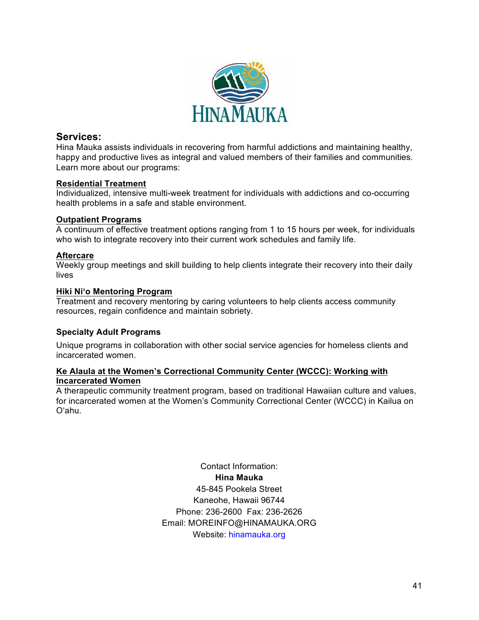

#### **Services:**

Hina Mauka assists individuals in recovering from harmful addictions and maintaining healthy, happy and productive lives as integral and valued members of their families and communities. Learn more about our programs:

#### **Residential Treatment**

Individualized, intensive multi-week treatment for individuals with addictions and co-occurring health problems in a safe and stable environment.

#### **Outpatient Programs**

A continuum of effective treatment options ranging from 1 to 15 hours per week, for individuals who wish to integrate recovery into their current work schedules and family life.

#### **Aftercare**

Weekly group meetings and skill building to help clients integrate their recovery into their daily lives

#### **Hiki Ni'o Mentoring Program**

Treatment and recovery mentoring by caring volunteers to help clients access community resources, regain confidence and maintain sobriety.

#### **Specialty Adult Programs**

Unique programs in collaboration with other social service agencies for homeless clients and incarcerated women.

#### **Ke Alaula at the Women's Correctional Community Center (WCCC): Working with Incarcerated Women**

A therapeutic community treatment program, based on traditional Hawaiian culture and values, for incarcerated women at the Women's Community Correctional Center (WCCC) in Kailua on O'ahu.

> Contact Information: **Hina Mauka** 45-845 Pookela Street Kaneohe, Hawaii 96744 Phone: 236-2600 Fax: 236-2626 Email: MOREINFO@HINAMAUKA.ORG Website: hinamauka.org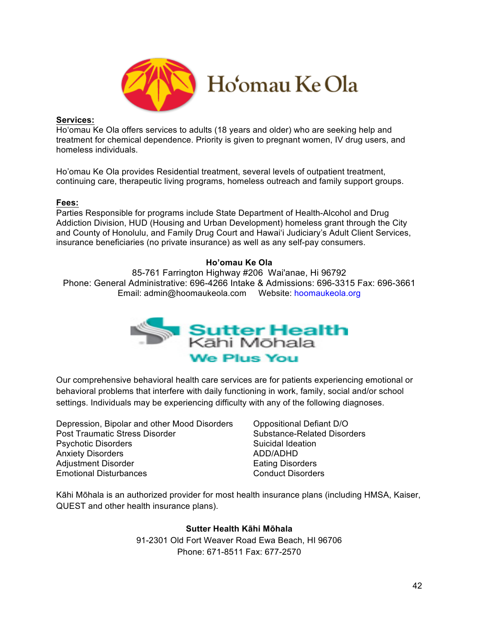

#### **Services:**

Ho'omau Ke Ola offers services to adults (18 years and older) who are seeking help and treatment for chemical dependence. Priority is given to pregnant women, IV drug users, and homeless individuals.

Ho'omau Ke Ola provides Residential treatment, several levels of outpatient treatment, continuing care, therapeutic living programs, homeless outreach and family support groups.

#### **Fees:**

Parties Responsible for programs include State Department of Health-Alcohol and Drug Addiction Division, HUD (Housing and Urban Development) homeless grant through the City and County of Honolulu, and Family Drug Court and Hawai'i Judiciary's Adult Client Services, insurance beneficiaries (no private insurance) as well as any self-pay consumers.

#### **Ho'omau Ke Ola**

85-761 Farrington Highway #206 Wai'anae, Hi 96792 Phone: General Administrative: 696-4266 Intake & Admissions: 696-3315 Fax: 696-3661 Email: admin@hoomaukeola.com Website: hoomaukeola.org



Our comprehensive behavioral health care services are for patients experiencing emotional or behavioral problems that interfere with daily functioning in work, family, social and/or school settings. Individuals may be experiencing difficulty with any of the following diagnoses.

Depression, Bipolar and other Mood Disorders Oppositional Defiant D/O Post Traumatic Stress Disorder Substance-Related Disorders Psychotic Disorders **Suicidal Ideation** Suicidal Ideation Anxiety Disorders ADD/ADHD Adjustment Disorder **Eating Disorders** Eating Disorders Emotional Disturbances **Conduct Disorders** 

Kāhi Mōhala is an authorized provider for most health insurance plans (including HMSA, Kaiser, QUEST and other health insurance plans).

> **Sutter Health Kāhi Mōhala** 91-2301 Old Fort Weaver Road Ewa Beach, HI 96706 Phone: 671-8511 Fax: 677-2570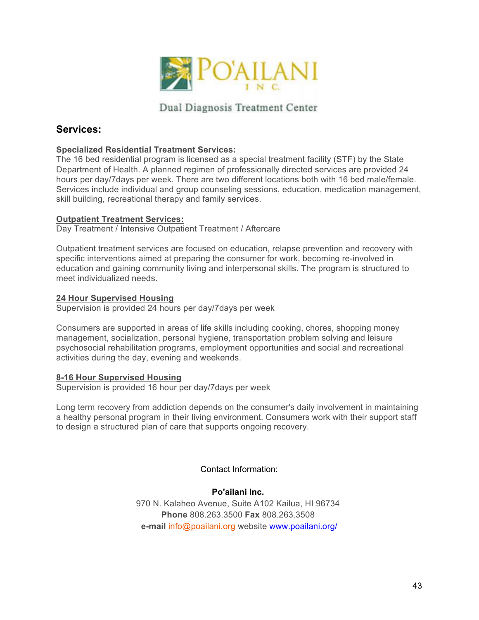

Dual Diagnosis Treatment Center

## **Services:**

#### **Specialized Residential Treatment Services:**

The 16 bed residential program is licensed as a special treatment facility (STF) by the State Department of Health. A planned regimen of professionally directed services are provided 24 hours per day/7days per week. There are two different locations both with 16 bed male/female. Services include individual and group counseling sessions, education, medication management, skill building, recreational therapy and family services.

#### **Outpatient Treatment Services:**

Day Treatment / Intensive Outpatient Treatment / Aftercare

Outpatient treatment services are focused on education, relapse prevention and recovery with specific interventions aimed at preparing the consumer for work, becoming re-involved in education and gaining community living and interpersonal skills. The program is structured to meet individualized needs.

#### **24 Hour Supervised Housing**

Supervision is provided 24 hours per day/7days per week

Consumers are supported in areas of life skills including cooking, chores, shopping money management, socialization, personal hygiene, transportation problem solving and leisure psychosocial rehabilitation programs, employment opportunities and social and recreational activities during the day, evening and weekends.

#### **8-16 Hour Supervised Housing**

Supervision is provided 16 hour per day/7days per week

Long term recovery from addiction depends on the consumer's daily involvement in maintaining a healthy personal program in their living environment. Consumers work with their support staff to design a structured plan of care that supports ongoing recovery.

Contact Information:

#### **Po'ailani Inc.**

970 N. Kalaheo Avenue, Suite A102 Kailua, HI 96734 **Phone** 808.263.3500 **Fax** 808.263.3508 **e-mail** info@poailani.org website www.poailani.org/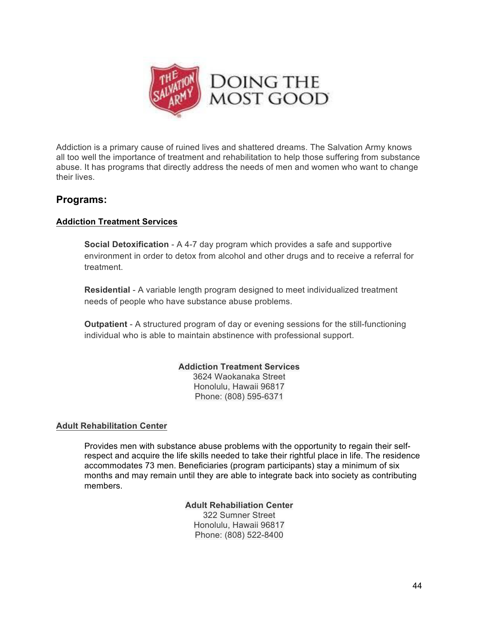

Addiction is a primary cause of ruined lives and shattered dreams. The Salvation Army knows all too well the importance of treatment and rehabilitation to help those suffering from substance abuse. It has programs that directly address the needs of men and women who want to change their lives.

## **Programs:**

#### **Addiction Treatment Services**

**Social Detoxification** - A 4-7 day program which provides a safe and supportive environment in order to detox from alcohol and other drugs and to receive a referral for treatment.

**Residential** - A variable length program designed to meet individualized treatment needs of people who have substance abuse problems.

**Outpatient** - A structured program of day or evening sessions for the still-functioning individual who is able to maintain abstinence with professional support.

#### **Addiction Treatment Services**

3624 Waokanaka Street Honolulu, Hawaii 96817 Phone: (808) 595-6371

#### **Adult Rehabilitation Center**

Provides men with substance abuse problems with the opportunity to regain their selfrespect and acquire the life skills needed to take their rightful place in life. The residence accommodates 73 men. Beneficiaries (program participants) stay a minimum of six months and may remain until they are able to integrate back into society as contributing members.

> **Adult Rehabiliation Center** 322 Sumner Street Honolulu, Hawaii 96817 Phone: (808) 522-8400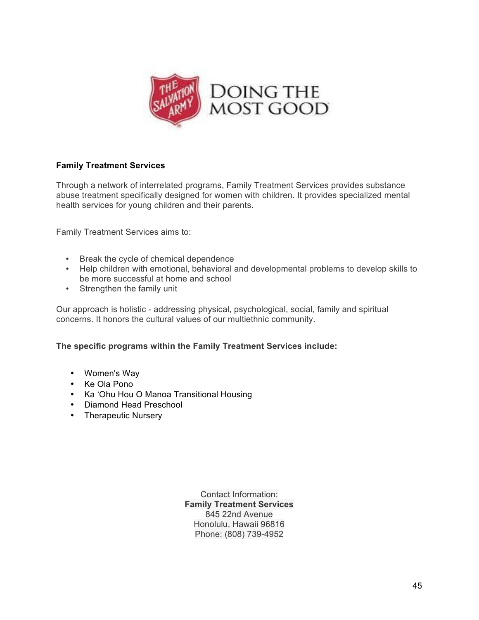

#### **Family Treatment Services**

Through a network of interrelated programs, Family Treatment Services provides substance abuse treatment specifically designed for women with children. It provides specialized mental health services for young children and their parents.

Family Treatment Services aims to:

- Break the cycle of chemical dependence
- Help children with emotional, behavioral and developmental problems to develop skills to be more successful at home and school
- Strengthen the family unit

Our approach is holistic - addressing physical, psychological, social, family and spiritual concerns. It honors the cultural values of our multiethnic community.

**The specific programs within the Family Treatment Services include:**

- Women's Way
- Ke Ola Pono
- Ka 'Ohu Hou O Manoa Transitional Housing
- Diamond Head Preschool
- Therapeutic Nursery

Contact Information: **Family Treatment Services** 845 22nd Avenue Honolulu, Hawaii 96816 Phone: (808) 739-4952